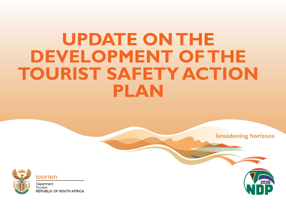# **UPDATE ON THE DEVELOPMENT OF THE TOURIST SAFETY ACTION PLAN**



tourism

Department: Tourism **REPUBLIC OF SOUTH AFRICA** 



**broadening horizons**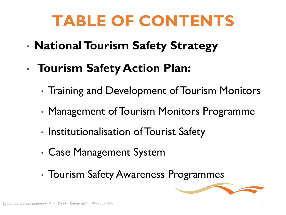# **TABLE OF CONTENTS**

- **National Tourism Safety Strategy**
- **Tourism Safety Action Plan:**
	- Training and Development of Tourism Monitors
	- Management of Tourism Monitors Programme
	- Institutionalisation of Tourist Safety
	- Case Management System
	- Tourism Safety Awareness Programmes

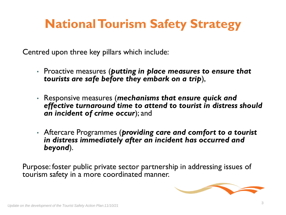### **National Tourism Safety Strategy**

Centred upon three key pillars which include:

- Proactive measures (*putting in place measures to ensure that tourists are safe before they embark on a trip*),
- Responsive measures (*mechanisms that ensure quick and effective turnaround time to attend to tourist in distress should an incident of crime occur*); and
- Aftercare Programmes (*providing care and comfort to a tourist in distress immediately after an incident has occurred and beyond*).

Purpose: foster public private sector partnership in addressing issues of tourism safety in a more coordinated manner.

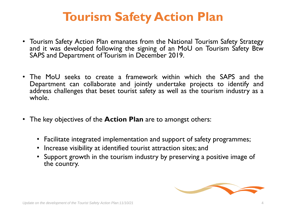#### **Tourism Safety Action Plan**

- Tourism Safety Action Plan emanates from the National Tourism Safety Strategy and it was developed following the signing of an MoU on Tourism Safety Btw SAPS and Department of Tourism in December 2019.
- The MoU seeks to create a framework within which the SAPS and the Department can collaborate and jointly undertake projects to identify and address challenges that beset tourist safety as well as the tourism industry as a whole.
- The key objectives of the **Action Plan** are to amongst others:
	- Facilitate integrated implementation and support of safety programmes;
	- Increase visibility at identified tourist attraction sites; and
	- Support growth in the tourism industry by preserving a positive image of the country.

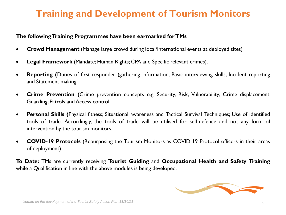#### **Training and Development of Tourism Monitors**

#### **The followingTraining Programmes have been earmarked forTMs**

- **Crowd Management** (Manage large crowd during local/International events at deployed sites)
- **Legal Framework** (Mandate; Human Rights; CPA and Specific relevant crimes).
- **Reporting (**Duties of first responder (gathering information; Basic interviewing skills; Incident reporting and Statement making
- **Crime Prevention (**Crime prevention concepts e.g. Security, Risk, Vulnerability; Crime displacement; Guarding; Patrols and Access control.
- **Personal Skills (**Physical fitness; Situational awareness and Tactical Survival Techniques; Use of identified tools of trade. Accordingly, the tools of trade will be utilised for self-defence and not any form of intervention by the tourism monitors.
- **COVID-19 Protocols** (Repurposing the Tourism Monitors as COVID-19 Protocol officers in their areas of deployment)

**To Date:** TMs are currently receiving **Tourist Guiding** and **Occupational Health and Safety Training** while a Qualification in line with the above modules is being developed.

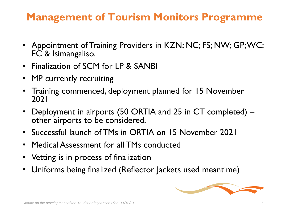#### **Management of Tourism Monitors Programme**

- Appointment of Training Providers in KZN; NC; FS; NW; GP; WC; EC & Isimangaliso.
- Finalization of SCM for LP & SANBI
- MP currently recruiting
- Training commenced, deployment planned for 15 November 2021
- Deployment in airports (50 ORTIA and 25 in CT completed) other airports to be considered.
- Successful launch of TMs in ORTIA on 15 November 2021
- Medical Assessment for all TMs conducted
- Vetting is in process of finalization
- Uniforms being finalized (Reflector Jackets used meantime)

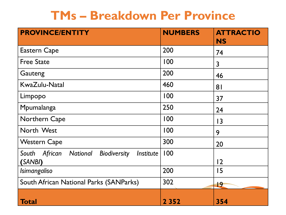#### **TMs – Breakdown Per Province**

| <b>PROVINCE/ENTITY</b>                                                      | <b>NUMBERS</b> | <b>ATTRACTIO</b><br><b>NS</b> |
|-----------------------------------------------------------------------------|----------------|-------------------------------|
| <b>Eastern Cape</b>                                                         | 200            | 74                            |
| <b>Free State</b>                                                           | 100            | 3                             |
| Gauteng                                                                     | 200            | 46                            |
| KwaZulu-Natal                                                               | 460            | 8 <sub>1</sub>                |
| Limpopo                                                                     | 100            | 37                            |
| Mpumalanga                                                                  | 250            | 24                            |
| Northern Cape                                                               | 100            | 3                             |
| North West                                                                  | 100            | 9                             |
| <b>Western Cape</b>                                                         | 300            | 20                            |
| African<br>National<br><b>Biodiversity</b><br>Institute<br>South<br>(SANBI) | 100            | 12                            |
| Isimangaliso                                                                | 200            | 15                            |
| South African National Parks (SANParks)                                     | 302            | 19                            |
| Total                                                                       | 2 3 5 2        | 354                           |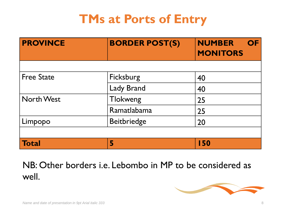#### **TMs at Ports of Entry**

| <b>PROVINCE</b>   | <b>BORDER POST(S)</b> | <b>NUMBER</b><br><b>OF</b><br><b>MONITORS</b> |
|-------------------|-----------------------|-----------------------------------------------|
|                   |                       |                                               |
| <b>Free State</b> | Ficksburg             | 40                                            |
|                   | <b>Lady Brand</b>     | 40                                            |
| <b>North West</b> | Tlokweng              | 25                                            |
|                   | Ramatlabama           | 25                                            |
| Limpopo           | <b>Beitbriedge</b>    | 20                                            |
|                   |                       |                                               |
| <b>Total</b>      | 5                     | 150                                           |

NB: Other borders i.e. Lebombo in MP to be considered as well.

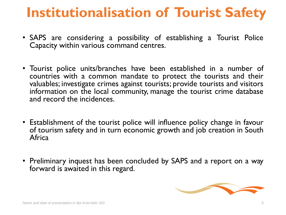## **Institutionalisation of Tourist Safety**

- SAPS are considering a possibility of establishing a Tourist Police Capacity within various command centres.
- Tourist police units/branches have been established in a number of countries with a common mandate to protect the tourists and their valuables; investigate crimes against tourists; provide tourists and visitors information on the local community, manage the tourist crime database and record the incidences.
- Establishment of the tourist police will influence policy change in favour of tourism safety and in turn economic growth and job creation in South **Africa**
- Preliminary inquest has been concluded by SAPS and a report on a way forward is awaited in this regard.

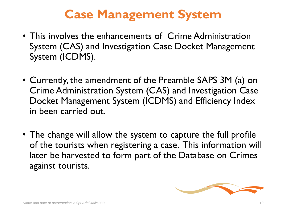#### **Case Management System**

- This involves the enhancements of Crime Administration System (CAS) and Investigation Case Docket Management System (ICDMS).
- Currently, the amendment of the Preamble SAPS 3M (a) on Crime Administration System (CAS) and Investigation Case Docket Management System (ICDMS) and Efficiency Index in been carried out.
- The change will allow the system to capture the full profile of the tourists when registering a case. This information will later be harvested to form part of the Database on Crimes against tourists.

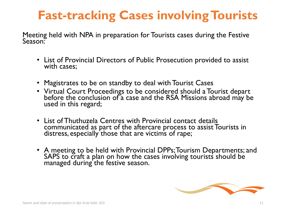#### **Fast-tracking Cases involving Tourists**

Meeting held with NPA in preparation for Tourists cases during the Festive Season:

- List of Provincial Directors of Public Prosecution provided to assist with cases;
- Magistrates to be on standby to deal with Tourist Cases
- Virtual Court Proceedings to be considered should a Tourist depart before the conclusion of a case and the RSA Missions abroad may be used in this regard;
- List of Thuthuzela Centres with Provincial contact details communicated as part of the aftercare process to assist Tourists in distress, especially those that are victims of rape;
- A meeting to be held with Provincial DPPs; Tourism Departments; and SAPS to craft a plan on how the cases involving tourists should be managed during the festive season.

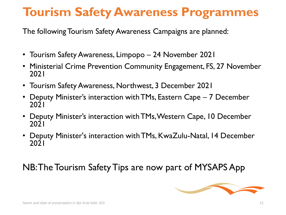#### **Tourism Safety Awareness Programmes**

The following Tourism Safety Awareness Campaigns are planned:

- Tourism Safety Awareness, Limpopo 24 November 2021
- Ministerial Crime Prevention Community Engagement, FS, 27 November 2021
- Tourism Safety Awareness, Northwest, 3 December 2021
- Deputy Minister's interaction with TMs, Eastern Cape 7 December 2021
- Deputy Minister's interaction with TMs, Western Cape, 10 December 2021
- Deputy Minister's interaction with TMs, KwaZulu-Natal, 14 December 2021

#### NB: The Tourism Safety Tips are now part of MYSAPS App